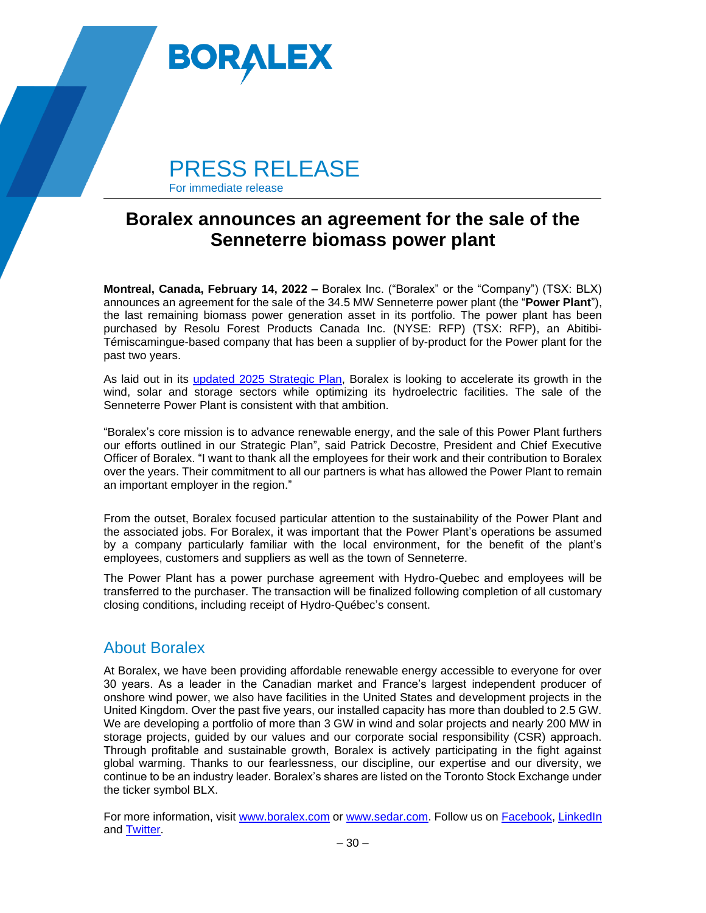

For immediate release

## **Boralex announces an agreement for the sale of the Senneterre biomass power plant**

**Montreal, Canada, February 14, 2022 - Boralex Inc. ("Boralex" or the "Company") (TSX: BLX)** announces an agreement for the sale of the 34.5 MW Senneterre power plant (the "**Power Plant**"), the last remaining biomass power generation asset in its portfolio. The power plant has been purchased by Resolu Forest Products Canada Inc. (NYSE: RFP) (TSX: RFP), an Abitibi-Témiscamingue-based company that has been a supplier of by-product for the Power plant for the past two years.

As laid out in its updated [2025 Strategic Plan,](https://boralex-global.imgix.net/C_BLX_2025_Strategic_Plan_VF_EN.pdf) Boralex is looking to accelerate its growth in the wind, solar and storage sectors while optimizing its hydroelectric facilities. The sale of the Senneterre Power Plant is consistent with that ambition.

"Boralex's core mission is to advance renewable energy, and the sale of this Power Plant furthers our efforts outlined in our Strategic Plan", said Patrick Decostre, President and Chief Executive Officer of Boralex. "I want to thank all the employees for their work and their contribution to Boralex over the years. Their commitment to all our partners is what has allowed the Power Plant to remain an important employer in the region."

From the outset, Boralex focused particular attention to the sustainability of the Power Plant and the associated jobs. For Boralex, it was important that the Power Plant's operations be assumed by a company particularly familiar with the local environment, for the benefit of the plant's employees, customers and suppliers as well as the town of Senneterre.

The Power Plant has a power purchase agreement with Hydro-Quebec and employees will be transferred to the purchaser. The transaction will be finalized following completion of all customary closing conditions, including receipt of Hydro-Québec's consent.

## About Boralex

At Boralex, we have been providing affordable renewable energy accessible to everyone for over 30 years. As a leader in the Canadian market and France's largest independent producer of onshore wind power, we also have facilities in the United States and development projects in the United Kingdom. Over the past five years, our installed capacity has more than doubled to 2.5 GW. We are developing a portfolio of more than 3 GW in wind and solar projects and nearly 200 MW in storage projects, guided by our values and our corporate social responsibility (CSR) approach. Through profitable and sustainable growth, Boralex is actively participating in the fight against global warming. Thanks to our fearlessness, our discipline, our expertise and our diversity, we continue to be an industry leader. Boralex's shares are listed on the Toronto Stock Exchange under the ticker symbol BLX.

For more information, visit [www.boralex.com](http://www.boralex.com/) or [www.sedar.com.](http://www.sedar.com/) Follow us on [Facebook,](https://www.facebook.com/BoralexInc) [LinkedIn](https://www.linkedin.com/company/boralex) and [Twitter.](https://twitter.com/BoralexInc)